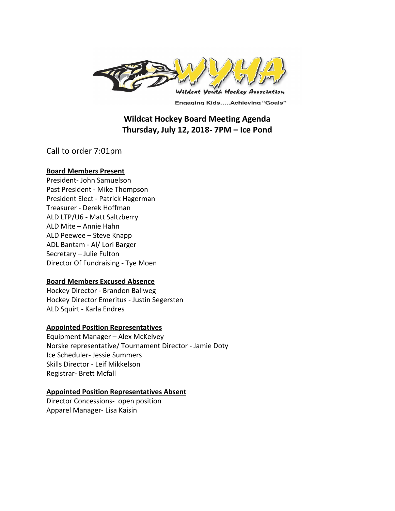

**Engaging Kids.....Achieving "Goals"** 

# **Wildcat Hockey Board Meeting Agenda Thursday, July 12, 2018- 7PM – Ice Pond**

Call to order 7:01pm

#### **Board Members Present**

President- John Samuelson Past President - Mike Thompson President Elect - Patrick Hagerman Treasurer - Derek Hoffman ALD LTP/U6 - Matt Saltzberry ALD Mite – Annie Hahn ALD Peewee – Steve Knapp ADL Bantam - Al/ Lori Barger Secretary – Julie Fulton Director Of Fundraising - Tye Moen

## **Board Members Excused Absence**

Hockey Director - Brandon Ballweg Hockey Director Emeritus - Justin Segersten ALD Squirt - Karla Endres

## **Appointed Position Representatives**

Equipment Manager – Alex McKelvey Norske representative/ Tournament Director - Jamie Doty Ice Scheduler- Jessie Summers Skills Director - Leif Mikkelson Registrar- Brett Mcfall

#### **Appointed Position Representatives Absent**

Director Concessions- open position Apparel Manager- Lisa Kaisin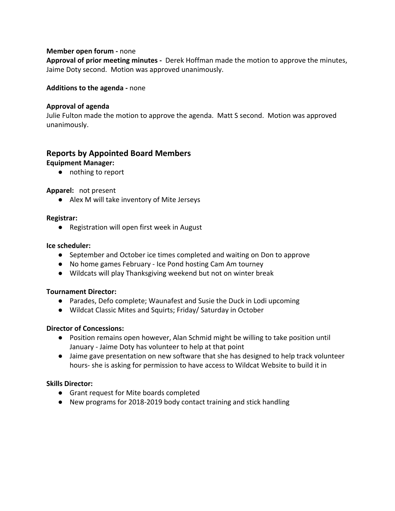#### **Member open forum -** none

**Approval of prior meeting minutes -** Derek Hoffman made the motion to approve the minutes, Jaime Doty second. Motion was approved unanimously.

#### **Additions to the agenda -** none

#### **Approval of agenda**

Julie Fulton made the motion to approve the agenda. Matt S second. Motion was approved unanimously.

# **Reports by Appointed Board Members Equipment Manager:**

● nothing to report

#### **Apparel:** not present

● Alex M will take inventory of Mite Jerseys

#### **Registrar:**

● Registration will open first week in August

#### **Ice scheduler:**

- September and October ice times completed and waiting on Don to approve
- No home games February Ice Pond hosting Cam Am tourney
- Wildcats will play Thanksgiving weekend but not on winter break

#### **Tournament Director:**

- Parades, Defo complete; Waunafest and Susie the Duck in Lodi upcoming
- Wildcat Classic Mites and Squirts; Friday/ Saturday in October

## **Director of Concessions:**

- **●** Position remains open however, Alan Schmid might be willing to take position until January - Jaime Doty has volunteer to help at that point
- Jaime gave presentation on new software that she has designed to help track volunteer hours- she is asking for permission to have access to Wildcat Website to build it in

## **Skills Director:**

- Grant request for Mite boards completed
- New programs for 2018-2019 body contact training and stick handling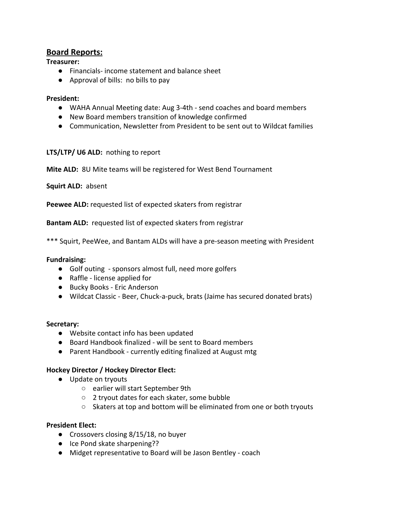# **Board Reports:**

## **Treasurer:**

- Financials- income statement and balance sheet
- Approval of bills: no bills to pay

## **President:**

- WAHA Annual Meeting date: Aug 3-4th send coaches and board members
- New Board members transition of knowledge confirmed
- Communication, Newsletter from President to be sent out to Wildcat families

## **LTS/LTP/ U6 ALD:** nothing to report

**Mite ALD:** 8U Mite teams will be registered for West Bend Tournament

**Squirt ALD:** absent

**Peewee ALD:** requested list of expected skaters from registrar

**Bantam ALD:** requested list of expected skaters from registrar

\*\*\* Squirt, PeeWee, and Bantam ALDs will have a pre-season meeting with President

## **Fundraising:**

- Golf outing sponsors almost full, need more golfers
- Raffle license applied for
- Bucky Books Eric Anderson
- Wildcat Classic Beer, Chuck-a-puck, brats (Jaime has secured donated brats)

## **Secretary:**

- Website contact info has been updated
- Board Handbook finalized will be sent to Board members
- Parent Handbook currently editing finalized at August mtg

## **Hockey Director / Hockey Director Elect:**

- Update on tryouts
	- earlier will start September 9th
	- 2 tryout dates for each skater, some bubble
	- Skaters at top and bottom will be eliminated from one or both tryouts

## **President Elect:**

- Crossovers closing 8/15/18, no buyer
- Ice Pond skate sharpening??
- Midget representative to Board will be Jason Bentley coach